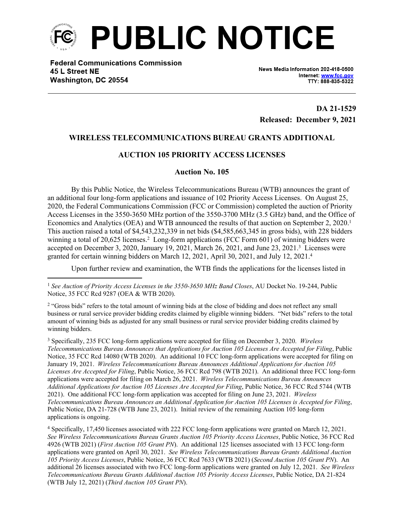

**Federal Communications Commission** 45 L Street NE Washington, DC 20554

News Media Information 202-418-0500 Internet: www.fcc.gov TTY: 888-835-5322

**DA 21-1529 Released: December 9, 2021**

## **WIRELESS TELECOMMUNICATIONS BUREAU GRANTS ADDITIONAL**

## **AUCTION 105 PRIORITY ACCESS LICENSES**

## **Auction No. 105**

By this Public Notice, the Wireless Telecommunications Bureau (WTB) announces the grant of an additional four long-form applications and issuance of 102 Priority Access Licenses. On August 25, 2020, the Federal Communications Commission (FCC or Commission) completed the auction of Priority Access Licenses in the 3550-3650 MHz portion of the 3550-3700 MHz (3.5 GHz) band, and the Office of Economics and Analytics (OEA) and WTB announced the results of that auction on September 2, 2020.<sup>1</sup> This auction raised a total of \$4,543,232,339 in net bids (\$4,585,663,345 in gross bids), with 228 bidders winning a total of 20,625 licenses.<sup>2</sup> Long-form applications (FCC Form 601) of winning bidders were accepted on December 3, 2020, January 19, 2021, March 26, 2021, and June 23, 2021.<sup>3</sup> Licenses were granted for certain winning bidders on March 12, 2021, April 30, 2021, and July 12, 2021.<sup>4</sup>

Upon further review and examination, the WTB finds the applications for the licenses listed in

<sup>1</sup> *See Auction of Priority Access Licenses in the 3550-3650 MHz Band Closes*, AU Docket No. 19-244, Public Notice, 35 FCC Rcd 9287 (OEA & WTB 2020).

<sup>2</sup> "Gross bids" refers to the total amount of winning bids at the close of bidding and does not reflect any small business or rural service provider bidding credits claimed by eligible winning bidders. "Net bids" refers to the total amount of winning bids as adjusted for any small business or rural service provider bidding credits claimed by winning bidders.

3 Specifically, 235 FCC long-form applications were accepted for filing on December 3, 2020. *Wireless Telecommunications Bureau Announces that Applications for Auction 105 Licenses Are Accepted for Filing*, Public Notice, 35 FCC Rcd 14080 (WTB 2020). An additional 10 FCC long-form applications were accepted for filing on January 19, 2021. *Wireless Telecommunications Bureau Announces Additional Applications for Auction 105 Licenses Are Accepted for Filing*, Public Notice, 36 FCC Rcd 798 (WTB 2021). An additional three FCC long-form applications were accepted for filing on March 26, 2021. *Wireless Telecommunications Bureau Announces Additional Applications for Auction 105 Licenses Are Accepted for Filing*, Public Notice, 36 FCC Rcd 5744 (WTB 2021). One additional FCC long-form application was accepted for filing on June 23, 2021. *Wireless Telecommunications Bureau Announces an Additional Application for Auction 105 Licenses is Accepted for Filing*, Public Notice, DA 21-728 (WTB June 23, 2021). Initial review of the remaining Auction 105 long-form applications is ongoing.

4 Specifically, 17,450 licenses associated with 222 FCC long-form applications were granted on March 12, 2021. *See Wireless Telecommunications Bureau Grants Auction 105 Priority Access Licenses*, Public Notice, 36 FCC Rcd 4926 (WTB 2021) (*First Auction 105 Grant PN*). An additional 125 licenses associated with 13 FCC long-form applications were granted on April 30, 2021. *See Wireless Telecommunications Bureau Grants Additional Auction 105 Priority Access Licenses*, Public Notice, 36 FCC Rcd 7633 (WTB 2021) (*Second Auction 105 Grant PN*). An additional 26 licenses associated with two FCC long-form applications were granted on July 12, 2021. *See Wireless Telecommunications Bureau Grants Additional Auction 105 Priority Access Licenses*, Public Notice, DA 21-824 (WTB July 12, 2021) (*Third Auction 105 Grant PN*).